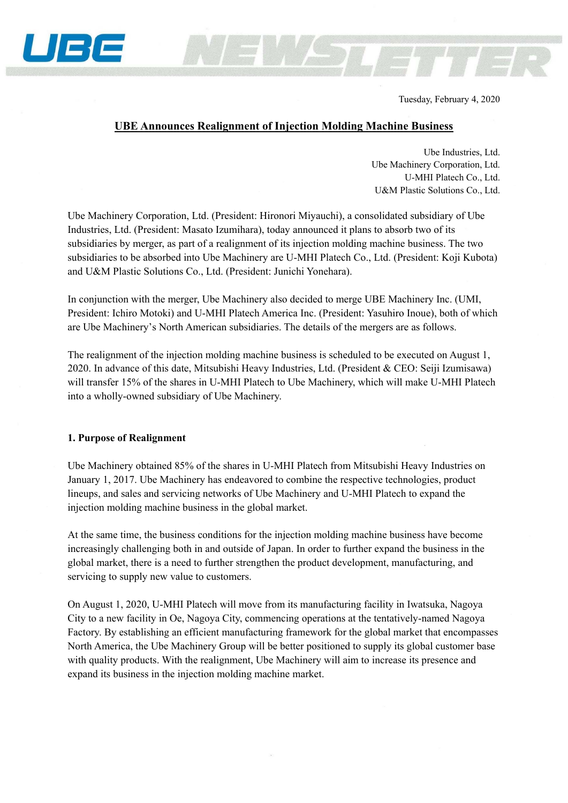

Tuesday, February 4, 2020

## **UBE Announces Realignment of Injection Molding Machine Business**

Ube Industries, Ltd. Ube Machinery Corporation, Ltd. U-MHI Platech Co., Ltd. U&M Plastic Solutions Co., Ltd.

Ube Machinery Corporation, Ltd. (President: Hironori Miyauchi), a consolidated subsidiary of Ube Industries, Ltd. (President: Masato Izumihara), today announced it plans to absorb two of its subsidiaries by merger, as part of a realignment of its injection molding machine business. The two subsidiaries to be absorbed into Ube Machinery are U-MHI Platech Co., Ltd. (President: Koji Kubota) and U&M Plastic Solutions Co., Ltd. (President: Junichi Yonehara).

In conjunction with the merger, Ube Machinery also decided to merge UBE Machinery Inc. (UMI, President: Ichiro Motoki) and U-MHI Platech America Inc. (President: Yasuhiro Inoue), both of which are Ube Machinery's North American subsidiaries. The details of the mergers are as follows.

The realignment of the injection molding machine business is scheduled to be executed on August 1, 2020. In advance of this date, Mitsubishi Heavy Industries, Ltd. (President & CEO: Seiji Izumisawa) will transfer 15% of the shares in U-MHI Platech to Ube Machinery, which will make U-MHI Platech into a wholly-owned subsidiary of Ube Machinery.

## **1. Purpose of Realignment**

Ube Machinery obtained 85% of the shares in U-MHI Platech from Mitsubishi Heavy Industries on January 1, 2017. Ube Machinery has endeavored to combine the respective technologies, product lineups, and sales and servicing networks of Ube Machinery and U-MHI Platech to expand the injection molding machine business in the global market.

At the same time, the business conditions for the injection molding machine business have become increasingly challenging both in and outside of Japan. In order to further expand the business in the global market, there is a need to further strengthen the product development, manufacturing, and servicing to supply new value to customers.

On August 1, 2020, U-MHI Platech will move from its manufacturing facility in Iwatsuka, Nagoya City to a new facility in Oe, Nagoya City, commencing operations at the tentatively-named Nagoya Factory. By establishing an efficient manufacturing framework for the global market that encompasses North America, the Ube Machinery Group will be better positioned to supply its global customer base with quality products. With the realignment, Ube Machinery will aim to increase its presence and expand its business in the injection molding machine market.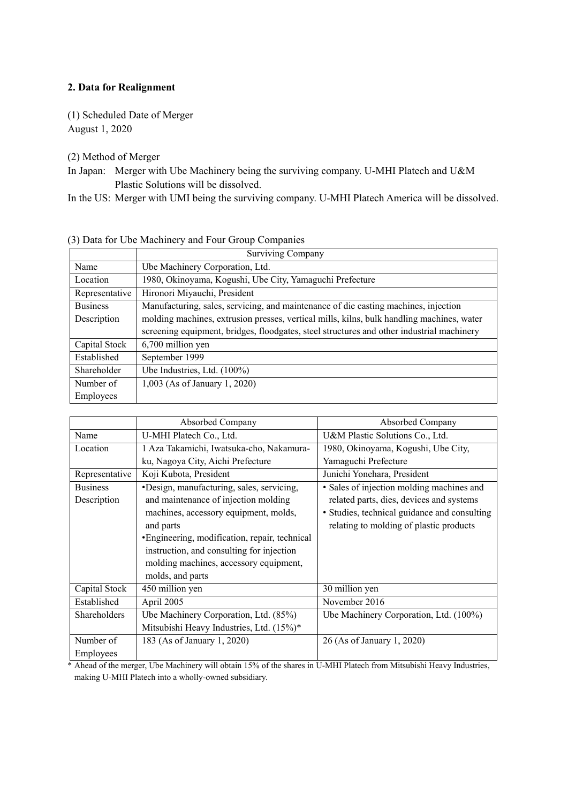## **2. Data for Realignment**

(1) Scheduled Date of Merger August 1, 2020

(2) Method of Merger

In Japan: Merger with Ube Machinery being the surviving company. U-MHI Platech and U&M Plastic Solutions will be dissolved.

In the US: Merger with UMI being the surviving company. U-MHI Platech America will be dissolved.

|                  | <b>Surviving Company</b>                                                                  |  |  |
|------------------|-------------------------------------------------------------------------------------------|--|--|
| Name             | Ube Machinery Corporation, Ltd.                                                           |  |  |
| Location         | 1980, Okinoyama, Kogushi, Ube City, Yamaguchi Prefecture                                  |  |  |
| Representative   | Hironori Miyauchi, President                                                              |  |  |
| <b>Business</b>  | Manufacturing, sales, servicing, and maintenance of die casting machines, injection       |  |  |
| Description      | molding machines, extrusion presses, vertical mills, kilns, bulk handling machines, water |  |  |
|                  | screening equipment, bridges, floodgates, steel structures and other industrial machinery |  |  |
| Capital Stock    | 6,700 million yen                                                                         |  |  |
| Established      | September 1999                                                                            |  |  |
| Shareholder      | Ube Industries, Ltd. (100%)                                                               |  |  |
| Number of        | 1,003 (As of January 1, 2020)                                                             |  |  |
| <b>Employees</b> |                                                                                           |  |  |

|  |  |  | (3) Data for Ube Machinery and Four Group Companies |
|--|--|--|-----------------------------------------------------|
|  |  |  |                                                     |

|                 | Absorbed Company                               | Absorbed Company                             |
|-----------------|------------------------------------------------|----------------------------------------------|
| Name            | U-MHI Platech Co., Ltd.                        | U&M Plastic Solutions Co., Ltd.              |
| Location        | 1 Aza Takamichi, Iwatsuka-cho, Nakamura-       | 1980, Okinoyama, Kogushi, Ube City,          |
|                 | ku, Nagoya City, Aichi Prefecture              | Yamaguchi Prefecture                         |
| Representative  | Koji Kubota, President                         | Junichi Yonehara, President                  |
| <b>Business</b> | •Design, manufacturing, sales, servicing,      | • Sales of injection molding machines and    |
| Description     | and maintenance of injection molding           | related parts, dies, devices and systems     |
|                 | machines, accessory equipment, molds,          | • Studies, technical guidance and consulting |
|                 | and parts                                      | relating to molding of plastic products      |
|                 | • Engineering, modification, repair, technical |                                              |
|                 | instruction, and consulting for injection      |                                              |
|                 | molding machines, accessory equipment,         |                                              |
|                 | molds, and parts                               |                                              |
| Capital Stock   | 450 million yen                                | 30 million yen                               |
| Established     | April 2005                                     | November 2016                                |
| Shareholders    | Ube Machinery Corporation, Ltd. (85%)          | Ube Machinery Corporation, Ltd. (100%)       |
|                 | Mitsubishi Heavy Industries, Ltd. (15%)*       |                                              |
| Number of       | 183 (As of January 1, 2020)                    | 26 (As of January 1, 2020)                   |
| Employees       |                                                |                                              |

\* Ahead of the merger, Ube Machinery will obtain 15% of the shares in U-MHI Platech from Mitsubishi Heavy Industries, making U-MHI Platech into a wholly-owned subsidiary.